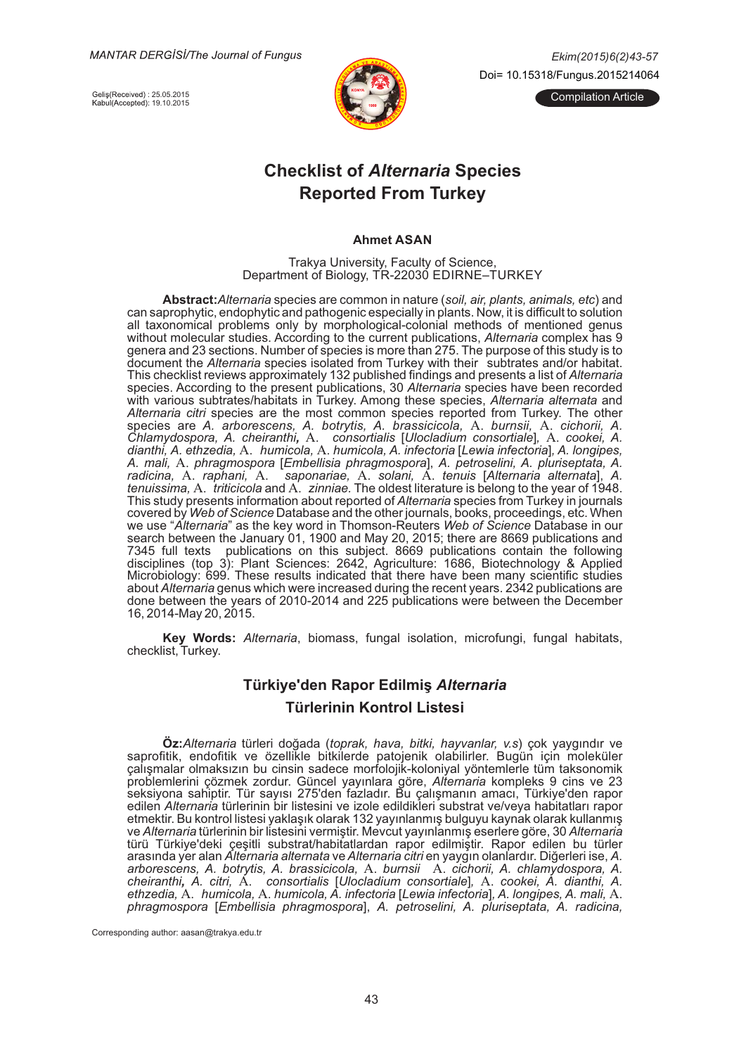**MANTAR DERGISI/The Journal of Fungus** 

Geliş(Received) : 25.05.2015<br>Kabul(Accepted): 19.10.2015



*Ek-m(2015)6(2)43-57* Doi= 10.15318/Fungus.2015214064

ilation Article

# **Checklist of Alternaria Species Reported From Turkey**

#### **Ahmet ASAN**

Trakya University, Faculty of Science, Department of Biology, TR-22030 EDIRNE-TURKEY

 $\bm{\mathsf{Abstract}}$ : *Alternaria* species are common in nature (*soil, air, plants, animals, etc*) and can saprophytic, endophytic and pathogenic especially in plants. Now, it is difficult to solution all taxonomical problems only by morphological-colonial methods of mentioned genus without molecular studies. According to the current publications, *Alternaria* complex has 9 genera and 23 sections. Number of species is more than 275. The purpose of this study is to document the *Alternaria* species isolated from Turkey with their subtrates and/or habitat. This checklist reviews approximately 132 published findings and presents a list of *Alternaria* species. According to the present publications, 30 Alternaria species have been recorded with various subtrates/habitats in Turkey. Among these species, *Alternaria alternata* and Alternaria citri species are the most common species reported from Turkey. The other species are *A. arborescens, A. botrytis, A. brassicicola, A. burnsii, A. cichorii, A. Chlamydospora, A. cheiranthi, A. consortialis [Ulocladium consortiale], A. cookei, A. Chlamydospora, A. cheiranthi, A. consortialis [Ulocladium consortiale], A. cookei, A. d-anth-, hum- A. ethzedia,* A. A. *cola, hum-cola, A. -nfector-a Lew-* [ ] *a -nfector-a , A. long-pes, A. mal-, phragmospora Embell-* A. [ ], *s-a phragmospora A. petrosel-n-, A. plur-septata, A. ra mai, ra pragmecpera <u>princemera</u> princymocpera<sub>j</sub>, <i>ra periocemii, ra pranceperai, ra*<br>radicina, A. raphani, A. saponariae, A. solani, A. tenuis [Alternaria alternata], A. *tenuissima, A. triticicola and A. zinniae.* The oldest literature is belong to the year of 1948. This study presents information about reported of *Alternaria* species from Turkey in journals covered by Web of Science Database and the other journals, books, proceedings, etc. When we use "*Alternaria*" as the key word in Thomson-Reuters *Web of Science* Database in our search between the January 01, 1900 and May 20, 2015; there are 8669 publications and 7345 full texts publications on this subject. 8669 publications contain the following disciplines (top 3): Plant Sciences: 2642, Agriculture: 1686, Biotechnology & Applied Microbiology: 699. These results indicated that there have been many scientific studies about Alternaria genus which were increased during the recent years. 2342 publications are done between the years of 2010-2014 and 225 publications were between the December 16, 2014-May 20, 2015.

Key Words: Alternaria, biomass, fungal isolation, microfungi, fungal habitats, checklist, Turkey.

# **Türkiye'den Rapor Edilmiş Alternaria**  $\overline{\phantom{a}}$  Türlerinin Kontrol Listesi

 $\ddot{\textbf{O}}$ z:*Alternaria* türleri doğada (*toprak, hava, bitki, hayvanlar, v.s*) çok yaygındır ve saprofitik, endofitik ve özellikle bitkilerde patojenik olabilirler. Bugün için moleküler çalışmalar olmaksızın bu cinsin sadece morfolojik-koloniyal yöntemlerle tüm taksonomik problemlerini çözmek zordur. Güncel yayınlara göre, Alternaria kompleks 9 cins ve 23 seksiyona sahiptir. Tür sayısı 275'den fazladır. Bu çalışmanın amacı, Türkiye'den rapor edilen *Alternaria* türlerinin bir listesini ve izole edildikleri substrat ve/veya habitatları rapor etmektir. Bu kontrol listesi yaklaşık olarak 132 yayınlanmış bulguyu kaynak olarak kullanmış ve *Alternaria* türlerinin bir listesini vermiştir. Mevcut yayınlanmış eserlere göre, 30 *Alternaria* türü Türkiye'deki çeşitli substrat/habitatlardan rapor edilmiştir. Rapor edilen bu türler arasında yer alan *Alternaria alternata* ve *Alternaria citri* en yaygın olanlardır. Diğerleri ise, *A.* arborescens, A. botrytis, A. brassicicola, A. burnsii A. cichorii, A. chlamydospora, A. *cheiranthi, A. citri, A. consortialis* [*Ulocladium consortiale*], A. cookei, A. dianthi, A. *ethzedia, A. humicola, A. humicola, A. infectoria [Lewia infectoria], A. longipes, A. mali, A. biting the straining of the straining of the straining of the straining of the straining of the straining of the straining*  $A$  $p$ hragmospora [Embellisia phragmospora], A. petroselini, A. pluriseptata, A. radicina,

Corresponding author: aasan@trakya.edu.tr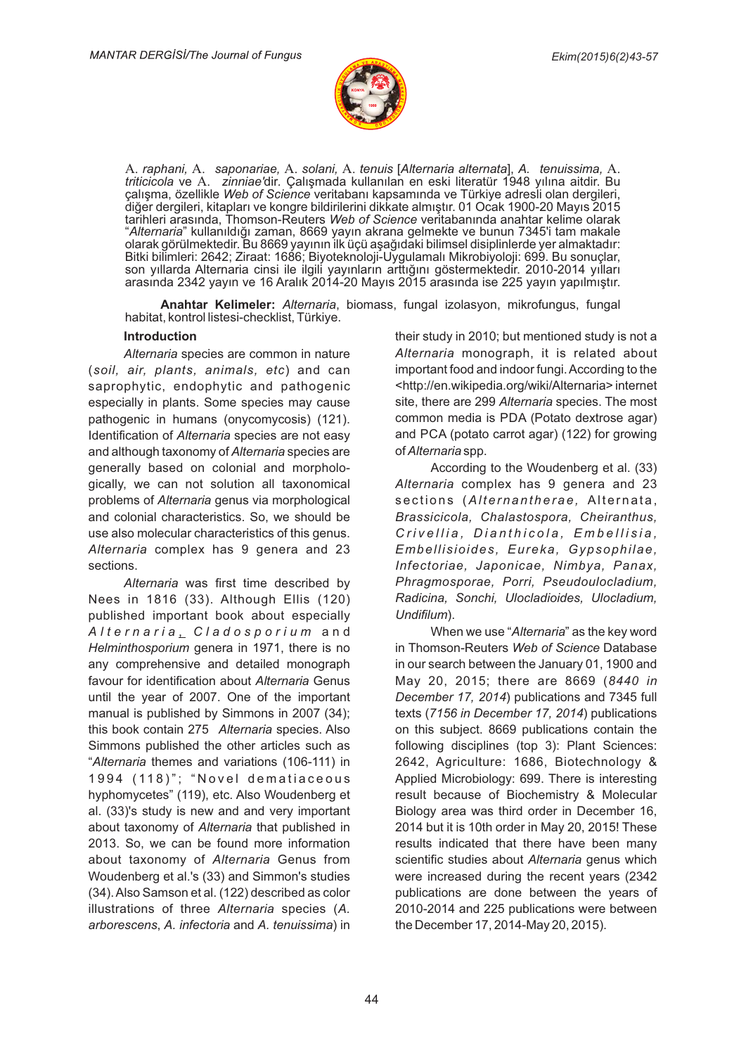

A. raphani, A. saponariae, A. solani, A. tenuis [Alternaria alternata], A. tenuissima, A. *triticicola ve A. zinniae'dir. Çalışmada kullanılan en eski literatür 1948 yılına aitdir. Bu triticicola ve A. zinniae'dir. Çalışmada kullanılan en eski literatür 1948 yılına aitdir. Bu* çalışma, özellikle Web of Science veritabanı kapsamında ve Türkiye adresli olan dergileri, diğer dergileri, kitapları ve kongre bildirilerini dikkate almıştır. 01 Ocak 1900-20 Mayıs 2015 tarihleri arasında, Thomson-Reuters *Web of Science* veritabanında anahtar kelime olarak "*Alternaria*" kullanıldığı zaman, 8669 yayın akrana gelmekte ve bunun 7345'i tam makale olarak görülmektedir. Bu 8669 yayının ilk üçü aşağıdaki bilimsel disiplinlerde yer almaktadır: Bitki bilimleri: 2642; Ziraat: 1686; Biyoteknoloji-Uygulamalı Mikrobiyoloji: 699. Bu sonuçlar, son yıllarda Alternaria cinsi ile ilgili yayınların arttığını göstermektedir. 2010-2014 yılları arasında 2342 yayın ve 16 Aralık 2014-20 Mayıs 2015 arasında ise 225 yayın yapılmıştır.

**Anahtar Kelimeler:** Alternaria, biomass, fungal izolasyon, mikrofungus, fungal habitat, kontrol listesi-checklist, Türkiye.

#### **Introduction**

Alternaria species are common in nature (soil, air, plants, animals, etc) and can saprophytic, endophytic and pathogenic especially in plants. Some species may cause pathogenic in humans (onycomycosis) (121). Identification of Alternaria species are not easy and although taxonomy of *Alternaria* species are generally based on colonial and morphologically, we can not solution all taxonomical problems of *Alternaria* genus via morphological and colonial characteristics. So, we should be use also molecular characteristics of this genus. A*lternaria* complex has 9 genera and 23 sections.

Alternaria was first time described by Nees in 1816 (33). Although Ellis (120) published important book about especially *A l t e r n a r -a C l a d o s p o r -u m* , and *Helminthosporium* genera in 1971, there is no any comprehensive and detailed monograph favour for identification about Alternaria Genus until the year of 2007. One of the important manual is published by Simmons in 2007 (34); this book contain 275 Alternaria species. Also Simmons published the other articles such as "Alternaria themes and variations (106-111) in 1994 (118)"; "Novel dematiaceous hyphomycetes" (119), etc. Also Woudenberg et al. (33)'s study is new and and very important about taxonomy of Alternaria that published in 2013. So, we can be found more information about taxonomy of *Alternaria* Genus from Woudenberg et al.'s (33) and Simmon's studies (34). Also Samson et al. (122) described as color illustrations of three Alternaria species (A. *arborescens, A. infectoria and A. tenuissima) in* 

their study in 2010; but mentioned study is not a Alternaria monograph, it is related about important food and indoor fungi. According to the <http://en.wikipedia.org/wiki/Alternaria> internet site, there are 299 Alternaria species. The most common media is PDA (Potato dextrose agar) and PCA (potato carrot agar) (122) for growing  $of$  Alternaria spp.

According to the Woudenberg et al. (33) Alternaria complex has 9 genera and 23 sections (Alternantherae, Alternata,  $Brassicicola, Chalastospora, Cheiranthus,$  $C$ rivellia, Dianthicola, Embellisia, *Embell-s-o-des, Eureka, Gypsoph-lae,* Infectoriae, Japonicae, Nimbya, Panax,  $Phragmosporae, Porri, Pseudoulocal, dim,$ *Radicina, Sonchi, Ulocladioides, Ulocladium,*  $Undifilum)$ .

When we use "Alternaria" as the key word in Thomson-Reuters Web of Science Database in our search between the January 01, 1900 and May 20, 2015; there are 8669 (8440 in December 17, 2014) publications and 7345 full texts (7156 in December 17, 2014) publications on this subject. 8669 publications contain the following disciplines (top 3): Plant Sciences: 2642, Agriculture: 1686, Biotechnology & Applied Microbiology: 699. There is interesting result because of Biochemistry & Molecular Biology area was third order in December 16, 2014 but it is 10th order in May 20, 2015! These results indicated that there have been many scientific studies about Alternaria genus which were increased during the recent years (2342 publications are done between the years of 2010-2014 and 225 publications were between the December 17, 2014-May 20, 2015).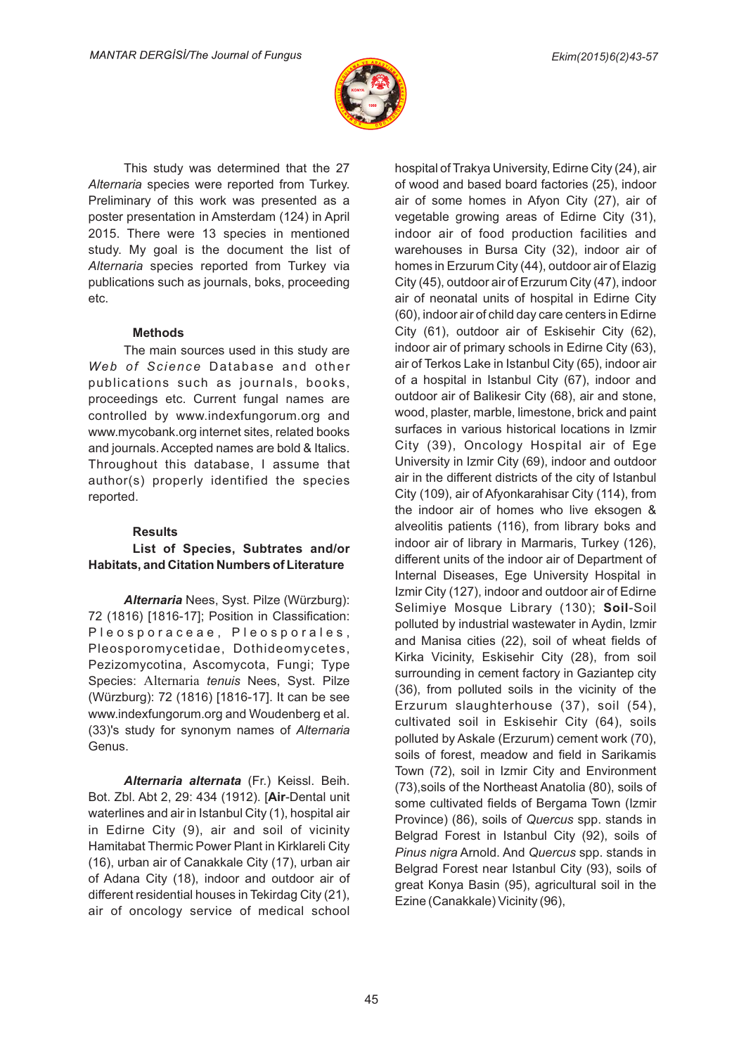

This study was determined that the 27 Alternaria species were reported from Turkey. Preliminary of this work was presented as a poster presentation in Amsterdam (124) in April 2015. There were 13 species in mentioned study. My goal is the document the list of Alternaria species reported from Turkey via publications such as journals, boks, proceeding etc.

### **Methods**

The main sources used in this study are Web of Science Database and other publications such as journals, books, proceedings etc. Current fungal names are controlled by www.indexfungorum.org and www.mycobank.org internet sites, related books and journals. Accepted names are bold & Italics. Throughout this database, I assume that author(s) properly identified the species reported.

### **Results**

## **List of Species, Subtrates and/or Habitats, and Citation Numbers of Literature**

*Alternaria* Nees, Syst. Pilze (Würzburg): 72 (1816) [1816-17]; Position in Classification: Pleosporaceae, Pleosporales, Pleosporomycetidae, Dothideomycetes, Pezizomycotina, Ascomycota, Fungi; Type Species: Alternaria tenuis Nees, Syst. Pilze (Würzburg): 72 (1816) [1816-17]. It can be see www.indexfungorum.org and Woudenberg et al. (33)'s study for synonym names of Alternaria Genus.

**Alternaria alternata** (Fr.) Keissl. Beih. Bot. Zbl. Abt 2, 29: 434 (1912). [Air-Dental unit waterlines and air in Istanbul City (1), hospital air in Edirne City (9), air and soil of vicinity Hamitabat Thermic Power Plant in Kirklareli City (16), urban air of Canakkale City (17), urban air of Adana City (18), indoor and outdoor air of different residential houses in Tekirdag City (21), air of oncology service of medical school

hospital of Trakya University, Edirne City (24), air of wood and based board factories (25), indoor air of some homes in Afyon City (27), air of vegetable growing areas of Edirne City (31), indoor air of food production facilities and warehouses in Bursa City (32), indoor air of homes in Erzurum City (44), outdoor air of Elazig City (45), outdoor air of Erzurum City (47), indoor air of neonatal units of hospital in Edirne City (60), indoor air of child day care centers in Edirne City (61), outdoor air of Eskisehir City (62), indoor air of primary schools in Edirne City (63), air of Terkos Lake in Istanbul City (65), indoor air of a hospital in Istanbul City (67), indoor and outdoor air of Balikesir City (68), air and stone, wood, plaster, marble, limestone, brick and paint surfaces in various historical locations in Izmir City (39), Oncology Hospital air of Ege University in Izmir City (69), indoor and outdoor air in the different districts of the city of Istanbul City (109), air of Afyonkarahisar City (114), from the indoor air of homes who live eksogen & alveolitis patients (116), from library boks and indoor air of library in Marmaris, Turkey (126), different units of the indoor air of Department of Internal Diseases, Ege University Hospital in Izmir City (127), indoor and outdoor air of Edirne Selimiye Mosque Library (130); Soil-Soil polluted by industrial wastewater in Aydin, Izmir and Manisa cities (22), soil of wheat fields of Kirka Vicinity, Eskisehir City (28), from soil surrounding in cement factory in Gaziantep city (36), from polluted soils in the vicinity of the Erzurum slaughterhouse (37), soil (54), cultivated soil in Eskisehir City (64), soils polluted by Askale (Erzurum) cement work (70), soils of forest, meadow and field in Sarikamis Town (72), soil in Izmir City and Environment (73), soils of the Northeast Anatolia (80), soils of some cultivated fields of Bergama Town (Izmir Province) (86), soils of Quercus spp. stands in Belgrad Forest in Istanbul City (92), soils of Pinus nigra Arnold. And Quercus spp. stands in Belgrad Forest near Istanbul City (93), soils of great Konya Basin (95), agricultural soil in the Ezine (Canakkale) Vicinity (96),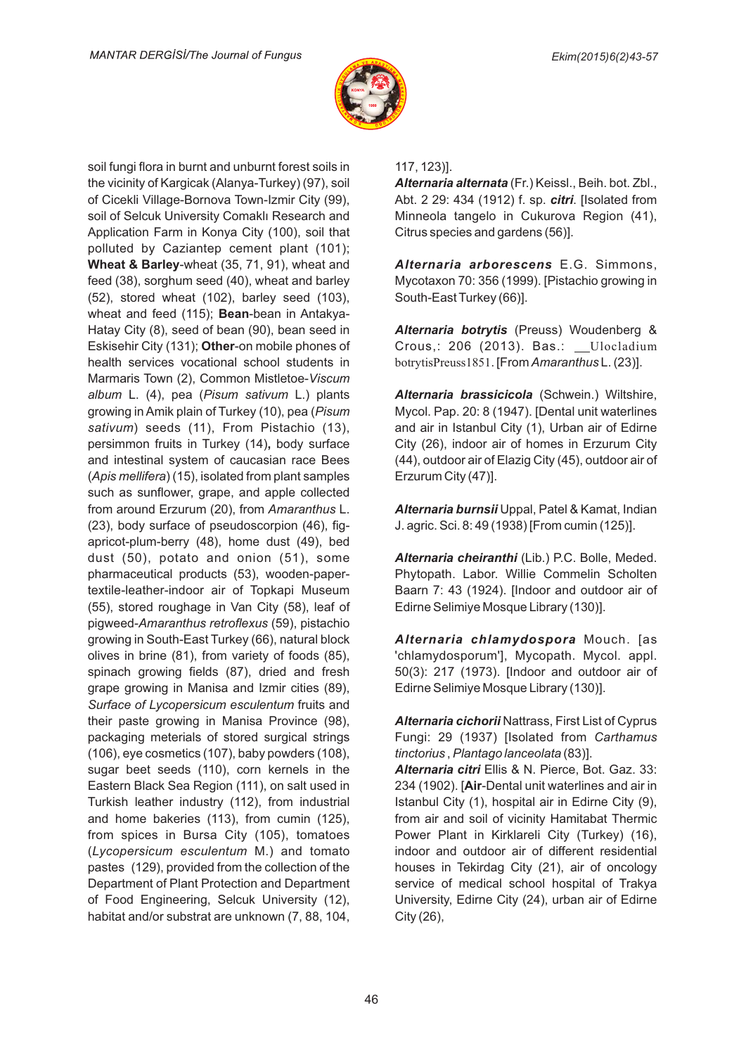

soil fungi flora in burnt and unburnt forest soils in the vicinity of Kargicak (Alanya-Turkey) (97), soil of Cicekli Village-Bornova Town-Izmir City (99), soil of Selcuk University Comaklı Research and Application Farm in Konya City (100), soil that polluted by Caziantep cement plant (101); **Wheat & Barley**-wheat (35, 71, 91), wheat and feed (38), sorghum seed (40), wheat and barley (52), stored wheat (102), barley seed (103), wheat and feed (115); **Bean**-bean in Antakya-Hatay City (8), seed of bean (90), bean seed in Eskisehir City (131); Other-on mobile phones of health services vocational school students in Marmaris Town (2), Common Mistletoe-Viscum album L. (4), pea (Pisum sativum L.) plants growing in Amik plain of Turkey (10), pea (*Pisum* sativum) seeds (11), From Pistachio (13), persimmon fruits in Turkey (14), body surface and intestinal system of caucasian race Bees (Apis mellifera) (15), isolated from plant samples such as sunflower, grape, and apple collected from around Erzurum (20), from Amaranthus L. (23), body surface of pseudoscorpion (46), figapricot-plum-berry (48), home dust (49), bed dust (50), potato and onion (51), some pharmaceutical products (53), wooden-papertextile-leather-indoor air of Topkapi Museum (55), stored roughage in Van City (58), leaf of pigweed-Amaranthus retroflexus (59), pistachio growing in South-East Turkey (66), natural block olives in brine (81), from variety of foods (85), spinach growing fields (87), dried and fresh grape growing in Manisa and Izmir cities (89), Surface of Lycopersicum esculentum fruits and their paste growing in Manisa Province (98), packaging meterials of stored surgical strings (106), eye cosmetics (107), baby powders (108), sugar beet seeds (110), corn kernels in the Eastern Black Sea Region (111), on salt used in Turkish leather industry (112), from industrial and home bakeries (113), from cumin (125), from spices in Bursa City (105), tomatoes (Lycopersicum esculentum M.) and tomato pastes (129), provided from the collection of the Department of Plant Protection and Department of Food Engineering, Selcuk University (12), habitat and/or substrat are unknown (7, 88, 104,

### 117, 123)].

**Alternaria alternata** (Fr.) Keissl., Beih. bot. Zbl., Abt. 2 29: 434 (1912) f. sp. *citri*. [Isolated from Minneola tangelo in Cukurova Region (41), Citrus species and gardens (56)].

**Alternaria arborescens** E.G. Simmons, Mycotaxon 70: 356 (1999). [Pistachio growing in South-East Turkey (66)].

**Alternaria botrytis** (Preuss) Woudenberg & Crous,: 206 (2013). Bas.: \_\_Ulocladium botrytisPreuss1851. [From Amaranthus L. (23)].

**Alternaria brassicicola** (Schwein.) Wiltshire, Mycol. Pap. 20: 8 (1947). [Dental unit waterlines and air in Istanbul City (1), Urban air of Edirne City (26), indoor air of homes in Erzurum City (44), outdoor air of Elazig City (45), outdoor air of Erzurum City (47)].

*Alternaria burnsii* Uppal, Patel & Kamat, Indian J. agric. Sci. 8: 49 (1938) [From cumin (125)].

**Alternaria cheiranthi** (Lib.) P.C. Bolle, Meded. Phytopath. Labor. Willie Commelin Scholten Baarn 7: 43 (1924). [Indoor and outdoor air of Edirne Selimiye Mosque Library (130)].

**Alternaria chlamydospora** Mouch. [as 'chlamydosporum'], Mycopath. Mycol. appl. 50(3): 217 (1973). [Indoor and outdoor air of Edirne Selimiye Mosque Library (130)].

**Alternaria cichorii Nattrass, First List of Cyprus** Fungi: 29 (1937) [Isolated from *Carthamus t-nctor-us Plantago lanceolata* , (83)].

**Alternaria citri** Ellis & N. Pierce, Bot. Gaz. 33: 234 (1902). [Air-Dental unit waterlines and air in Istanbul City (1), hospital air in Edirne City (9), from air and soil of vicinity Hamitabat Thermic Power Plant in Kirklareli City (Turkey) (16), indoor and outdoor air of different residential houses in Tekirdag City (21), air of oncology service of medical school hospital of Trakya University, Edirne City (24), urban air of Edirne City (26),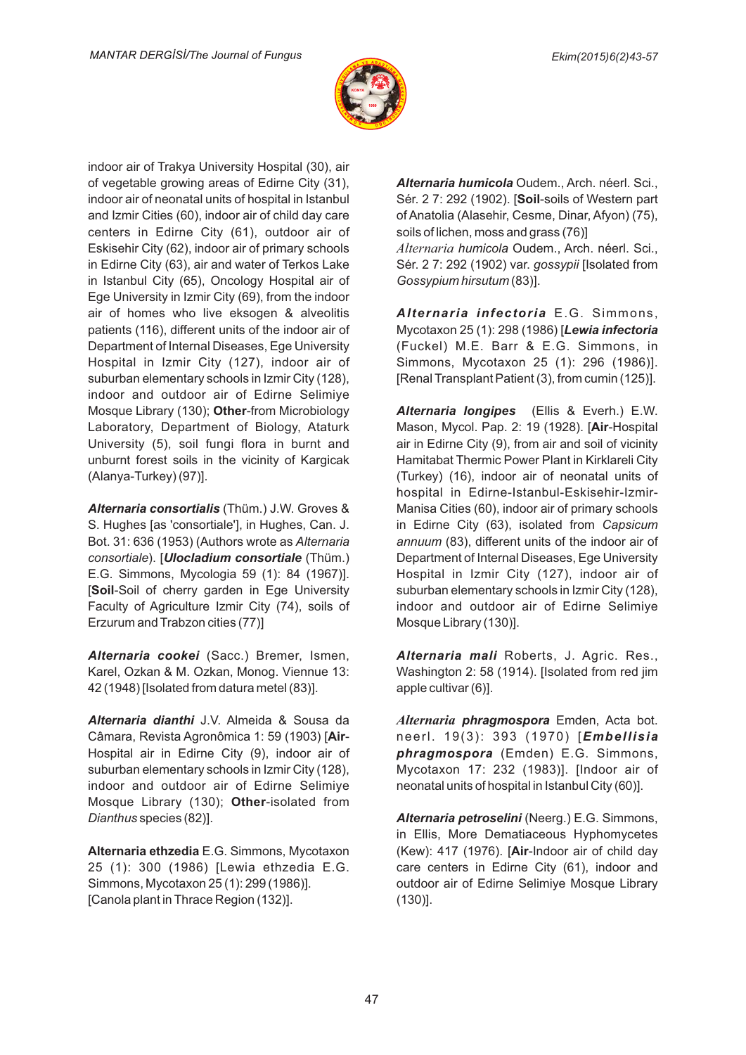

indoor air of Trakya University Hospital (30), air of vegetable growing areas of Edirne City (31), indoor air of neonatal units of hospital in Istanbul and Izmir Cities (60), indoor air of child day care centers in Edirne City (61), outdoor air of Eskisehir City (62), indoor air of primary schools in Edirne City (63), air and water of Terkos Lake in Istanbul City (65), Oncology Hospital air of Ege University in Izmir City (69), from the indoor air of homes who live eksogen & alveolitis patients (116), different units of the indoor air of Department of Internal Diseases, Ege University Hospital in Izmir City (127), indoor air of suburban elementary schools in Izmir City (128), indoor and outdoor air of Edirne Selimiye Mosque Library (130); Other-from Microbiology Laboratory, Department of Biology, Ataturk University (5), soil fungi flora in burnt and unburnt forest soils in the vicinity of Kargicak (Alanya-Turkey) (97)].

**Alternaria consortialis** (Thüm.) J.W. Groves & S. Hughes [as 'consortiale'], in Hughes, Can. J. Bot. 31: 636 (1953) (Authors wrote as *Alternaria consortiale*). [*Ulocladium consortiale* (Thüm.) E.G. Simmons, Mycologia 59 (1): 84 (1967)]. [Soil-Soil of cherry garden in Ege University Faculty of Agriculture Izmir City (74), soils of Erzurum and Trabzon cities (77)]

**Alternaria cookei** (Sacc.) Bremer, Ismen, Karel, Ozkan & M. Ozkan, Monog. Viennue 13: 42 (1948) [Isolated from datura metel (83)].

**Alternaria dianthi** J.V. Almeida & Sousa da Câmara, Revista Agronômica 1: 59 (1903) [Air-Hospital air in Edirne City (9), indoor air of suburban elementary schools in Izmir City (128), indoor and outdoor air of Edirne Selimiye Mosque Library (130); Other-isolated from *Dianthus* species (82)].

**Alternaria ethzedia** E.G. Simmons, Mycotaxon 25 (1): 300 (1986) [Lewia ethzedia E.G. Simmons, Mycotaxon 25 (1): 299 (1986)]. [Canola plant in Thrace Region (132)].

**Alternaria humicola** Oudem., Arch. néerl. Sci., Sér. 2 7: 292 (1902). [Soil-soils of Western part of Anatolia (Alasehir, Cesme, Dinar, Afyon) (75), soils of lichen, moss and grass (76)] *Alternaria humicola Oudem., Arch. néerl. Sci.,* Sér. 2 7: 292 (1902) var. *gossypii* [Isolated from  $Gosy$ *pium hirsutum* (83)].

Alternaria infectoria E.G. Simmons, Mycotaxon 25 (1): 298 (1986) [Lewia infectoria (Fuckel) M.E. Barr & E.G. Simmons, in Simmons, Mycotaxon 25 (1): 296 (1986)]. [Renal Transplant Patient (3), from cumin (125)].

**Alternaria longipes** (Ellis & Everh.) E.W. Mason, Mycol. Pap. 2: 19 (1928). [Air-Hospital air in Edirne City (9), from air and soil of vicinity Hamitabat Thermic Power Plant in Kirklareli City (Turkey) (16), indoor air of neonatal units of hospital in Edirne-Istanbul-Eskisehir-Izmir-Manisa Cities (60), indoor air of primary schools in Edirne City (63), isolated from *Capsicum* annuum (83), different units of the indoor air of Department of Internal Diseases, Ege University Hospital in Izmir City (127), indoor air of suburban elementary schools in Izmir City (128), indoor and outdoor air of Edirne Selimiye Mosque Library (130)].

Alternaria mali Roberts, J. Agric. Res., Washington 2: 58 (1914). [Isolated from red jim apple cultivar (6)].

**Alternaria phragmospora** Emden, Acta bot. neerl. 19(3): 393 (1970) [*Embellisia* phragmospora (Emden) E.G. Simmons, Mycotaxon 17: 232 (1983)]. [Indoor air of neonatal units of hospital in Istanbul City (60)].

Alternaria petroselini (Neerg.) E.G. Simmons, in Ellis, More Dematiaceous Hyphomycetes (Kew): 417 (1976). [Air-Indoor air of child day care centers in Edirne City (61), indoor and outdoor air of Edirne Selimiye Mosque Library (130)].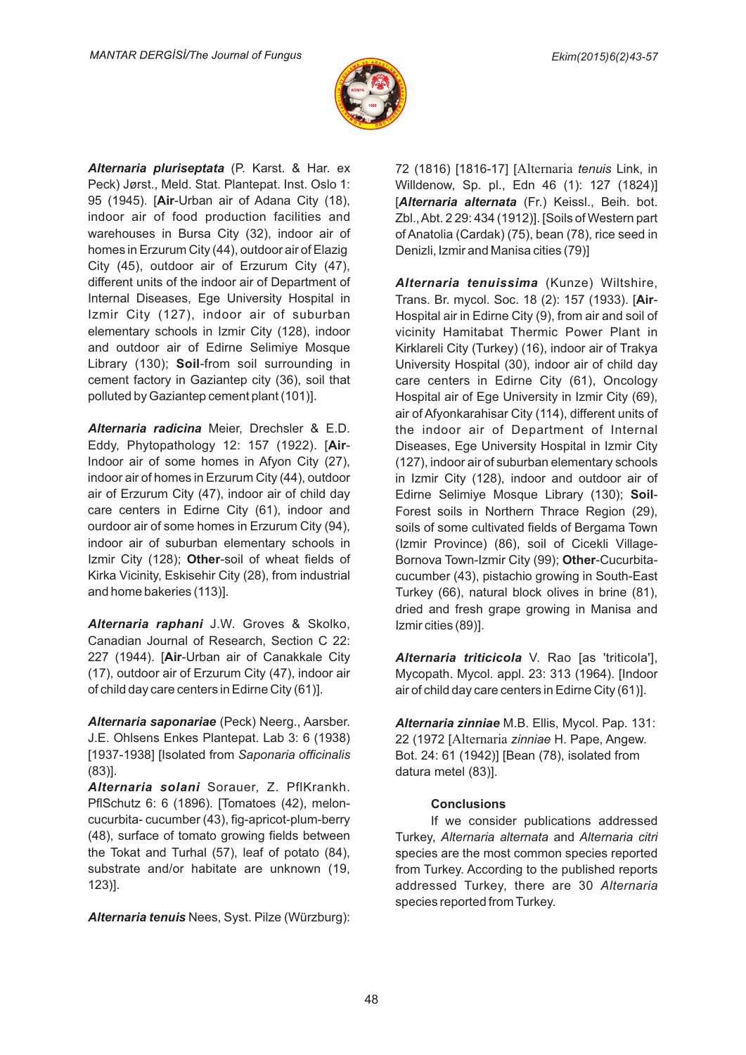

**Alternaria pluriseptata** (P. Karst. & Har. ex Peck) Jørst., Meld. Stat. Plantepat. Inst. Oslo 1: 95 (1945). [Air-Urban air of Adana City (18), indoor air of food production facilities and warehouses in Bursa City (32), indoor air of homes in Erzurum City (44), outdoor air of Elazig City (45), outdoor air of Erzurum City (47), different units of the indoor air of Department of Internal Diseases, Ege University Hospital in Izmir City (127), indoor air of suburban elementary schools in Izmir City (128), indoor and outdoor air of Edirne Selimiye Mosque Library (130); Soil-from soil surrounding in cement factory in Gaziantep city (36), soil that polluted by Gaziantep cement plant (101)].

**Alternaria radicina** Meier, Drechsler & E.D. Eddy, Phytopathology 12: 157 (1922). [Air-Indoor air of some homes in Afyon City (27), indoor air of homes in Erzurum City (44), outdoor air of Erzurum City (47), indoor air of child day care centers in Edirne City (61), indoor and ourdoor air of some homes in Erzurum City (94), indoor air of suburban elementary schools in Izmir City (128); Other-soil of wheat fields of Kirka Vicinity, Eskisehir City (28), from industrial and home bakeries (113)].

**Alternaria raphani** J.W. Groves & Skolko, Canadian Journal of Research, Section C 22: 227 (1944). [Air-Urban air of Canakkale City (17), outdoor air of Erzurum City (47), indoor air of child day care centers in Edirne City (61)].

**Alternaria saponariae** (Peck) Neerg., Aarsber. J.E. Ohlsens Enkes Plantepat. Lab 3: 6 (1938) [1937-1938] [Isolated from Saponaria officinalis (83)].

**Alternaria solani** Sorauer, Z. PflKrankh. PflSchutz 6: 6 (1896). [Tomatoes (42), meloncucurbita-cucumber (43), fig-apricot-plum-berry (48), surface of tomato growing fields between the Tokat and Turhal (57), leaf of potato (84), substrate and/or habitate are unknown (19, 123)].

Alternaria tenuis Nees, Syst. Pilze (Würzburg):

72 (1816) [1816-17] [Alternaria tenuis Link, in Willdenow, Sp. pl., Edn 46 (1): 127 (1824)] [Alternaria alternata (Fr.) Keissl., Beih. bot. Zbl., Abt. 2 29: 434 (1912)]. [Soils of Western part of Anatolia (Cardak) (75), bean (78), rice seed in Denizli, Izmir and Manisa cities (79)]

Alternaria tenuissima (Kunze) Wiltshire, Trans. Br. mycol. Soc. 18 (2): 157 (1933). [Air-Hospital air in Edirne City (9), from air and soil of vicinity Hamitabat Thermic Power Plant in Kirklareli City (Turkey) (16), indoor air of Trakya University Hospital (30), indoor air of child day care centers in Edirne City (61), Oncology Hospital air of Ege University in Izmir City (69), air of Afyonkarahisar City (114), different units of the indoor air of Department of Internal Diseases, Ege University Hospital in Izmir City (127), indoor air of suburban elementary schools in Izmir City (128), indoor and outdoor air of Edirne Selimiye Mosque Library (130); Soil-Forest soils in Northern Thrace Region (29), soils of some cultivated fields of Bergama Town (Izmir Province) (86), soil of Cicekli Village-Bornova Town-Izmir City (99); Other-Cucurbitacucumber (43), pistachio growing in South-East Turkey (66), natural block olives in brine (81), dried and fresh grape growing in Manisa and Izmir cities (89)].

Alternaria triticicola V. Rao [as 'triticola'], Mycopath. Mycol. appl. 23: 313 (1964). [Indoor air of child day care centers in Edirne City (61)].

Alternaria zinniae M.B. Ellis, Mycol. Pap. 131: 22 (1972 [Alternaria zinniae H. Pape, Angew. Bot. 24: 61 (1942)] [Bean (78), isolated from datura metel (83)].

### **Conclus-ons**

If we consider publications addressed Turkey, Alternaria alternata and Alternaria citri species are the most common species reported from Turkey. According to the published reports addressed Turkey, there are 30 Alternaria species reported from Turkey.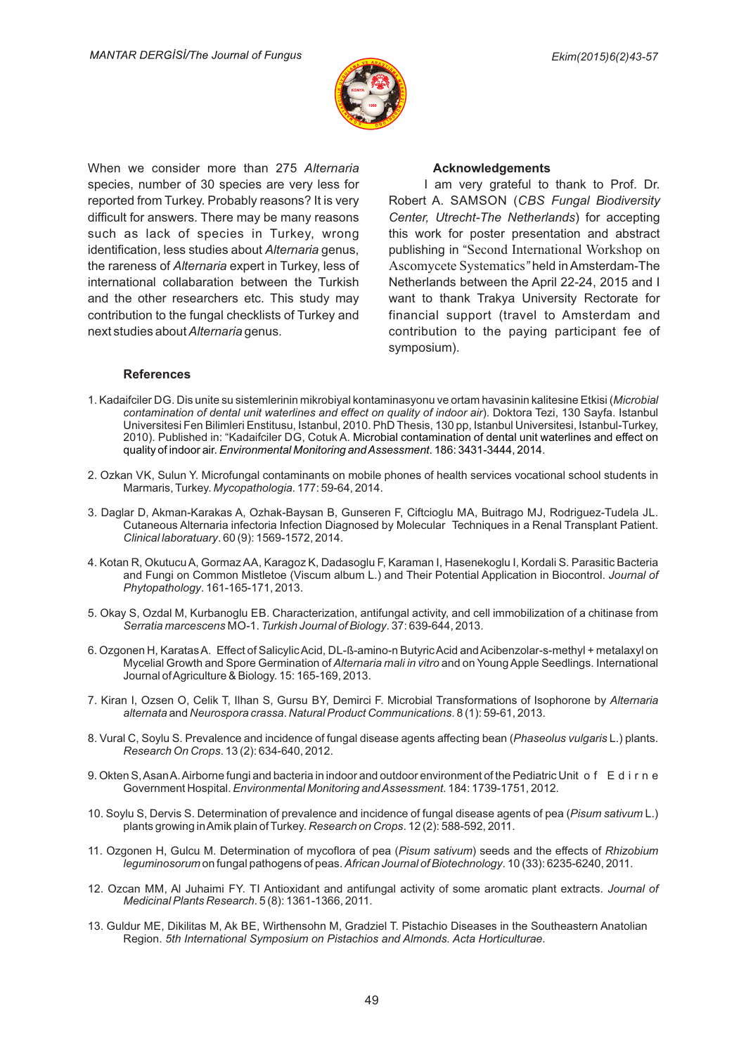

When we consider more than 275 Alternaria species, number of 30 species are very less for reported from Turkey. Probably reasons? It is very difficult for answers. There may be many reasons such as lack of species in Turkey, wrong identification, less studies about *Alternaria* genus, the rareness of *Alternaria* expert in Turkey, less of international collabaration between the Turkish and the other researchers etc. This study may contribution to the fungal checklists of Turkey and next studies about Alternaria genus.

#### **Acknowledgements**

I am very grateful to thank to Prof. Dr. Robert A. SAMSON (CBS Fungal Biodiversity Center, Utrecht-The Netherlands) for accepting this work for poster presentation and abstract publishing in "Second International Workshop on Ascomycete Systematics" held in Amsterdam-The Netherlands between the April 22-24, 2015 and I want to thank Trakya University Rectorate for financial support (travel to Amsterdam and contribution to the paying participant fee of symposium).

#### **References**

- 1. Kadaifciler DG. Dis unite su sistemlerinin mikrobiyal kontaminasyonu ve ortam havasinin kalitesine Etkisi (*Microbia*i *contamination of dental unit waterlines and effect on quality of indoor air). Doktora Tezi, 130 Sayfa. Istanbul* Universitesi Fen Bilimleri Enstitusu, Istanbul, 2010. PhD Thesis, 130 pp, Istanbul Universitesi, Istanbul-Turkey, 2010). Published in: "Kadaifciler DG, Cotuk A. Microbial contamination of dental unit waterlines and effect on quality of indoor air. *Environmental Monitoring and Assessment*. 186: 3431-3444, 2014.
- 2. Ozkan VK, Sulun Y. Microfungal contaminants on mobile phones of health services vocational school students in Marmaris, Turkey. Mycopathologia. 177: 59-64, 2014.
- 3. Daglar D, Akman-Karakas A, Ozhak-Baysan B, Gunseren F, Ciftcioglu MA, Buitrago MJ, Rodriguez-Tudela JL. Cutaneous Alternaria infectoria Infection Diagnosed by Molecular Techniques in a Renal Transplant Patient. *Cl-n-cal laboratuary*. 60 (9): 1569-1572, 2014.
- 4. Kotan R, Okutucu A, Gormaz AA, Karagoz K, Dadasoglu F, Karaman I, Hasenekoglu I, Kordali S. Parasitic Bacteria and Fungi on Common Mistletoe (Viscum album L.) and Their Potential Application in Biocontrol. *Journal of Phytopathology*. 161-165-171, 2013.
- 5. Okay S, Ozdal M, Kurbanoglu EB. Characterization, antifungal activity, and cell immobilization of a chitinase from Serratia marcescens MO-1. Turkish Journal of Biology. 37: 639-644, 2013.
- 6. Ozgonen H, Karatas A. Effect of Salicylic Acid, DL-ß-amino-n Butyric Acid and Acibenzolar-s-methyl + metalaxyl on Mycelial Growth and Spore Germination of Alternaria mali in vitro and on Young Apple Seedlings. International Journal of Agriculture & Biology. 15: 165-169, 2013.
- 7. Kiran I, Ozsen O, Celik T, Ilhan S, Gursu BY, Demirci F. Microbial Transformations of Isophorone by *Alternaria* alternata and Neurospora crassa. Natural Product Communications. 8 (1): 59-61, 2013.
- 8. Vural C, Soylu S. Prevalence and incidence of fungal disease agents affecting bean (*Phaseolus vulgaris* L.) plants. *Research On Crops*. 13 (2): 634-640, 2012.
- 9. Okten S, Asan A. Airborne fungi and bacteria in indoor and outdoor environment of the Pediatric Unit of Edirne Government Hospital. *Environmental Monitoring and Assessment*. 184: 1739-1751, 2012.
- 10. Soylu S, Dervis S. Determination of prevalence and incidence of fungal disease agents of pea (Pisum sativum L.) plants growing in Amik plain of Turkey. Research on Crops. 12 (2): 588-592, 2011.
- 11. Ozgonen H, Gulcu M. Determination of mycoflora of pea (Pisum sativum) seeds and the effects of Rhizobium *leguminosorum* on fungal pathogens of peas. *African Journal of Biotechnology*. 10 (33): 6235-6240, 2011.
- 12. Ozcan MM, AI Juhaimi FY. TI Antioxidant and antifungal activity of some aromatic plant extracts. *Journal of Med-c-nal Plants Research*. 5 (8): 1361-1366, 2011.
- 13. Guldur ME, Dikilitas M, Ak BE, Wirthensohn M, Gradziel T. Pistachio Diseases in the Southeastern Anatolian Region. 5th International Symposium on Pistachios and Almonds. Acta Horticulturae.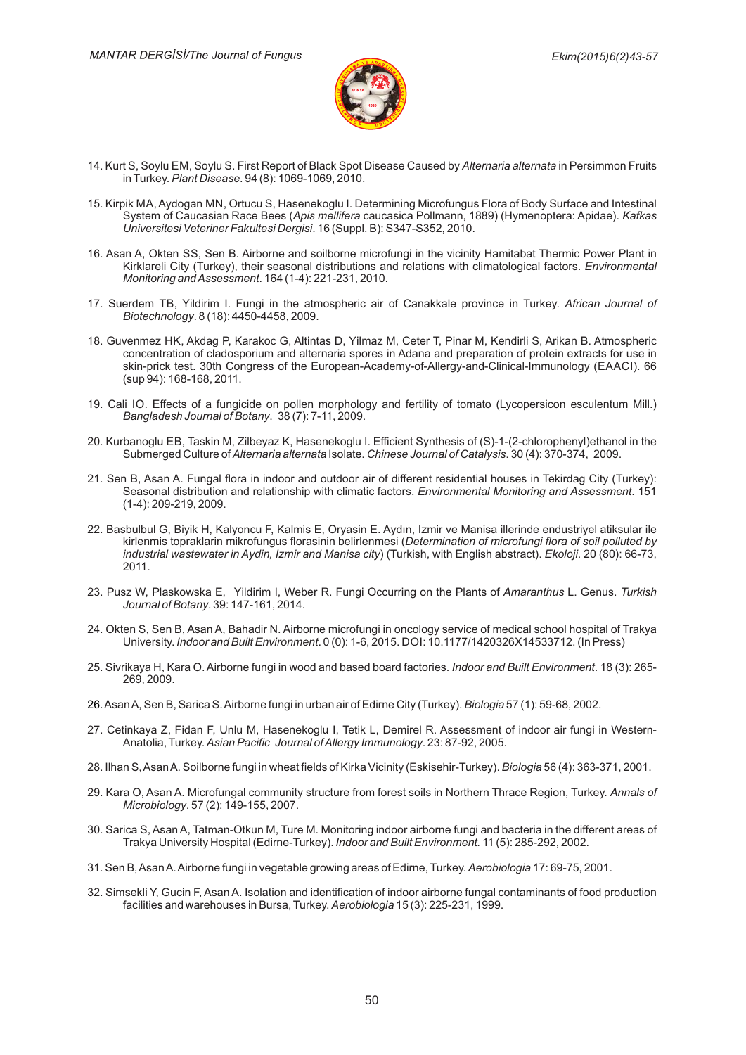

- 14. Kurt S, Soylu EM, Soylu S. First Report of Black Spot Disease Caused by *Alternaria alternata* in Persimmon Fruits in Turkey. *Plant Disease*. 94 (8): 1069-1069, 2010.
- 15. Kirpik MA, Aydogan MN, Ortucu S, Hasenekoglu I. Determining Microfungus Flora of Body Surface and Intestinal System of Caucasian Race Bees (*Apis mellifera* caucasica Pollmann, 1889) (Hymenoptera: Apidae). *Kafkas Universitesi Veteriner Fakultesi Dergisi.* 16 (Suppl. B): S347-S352, 2010.
- 16. Asan A, Okten SS, Sen B. Airborne and soilborne microfungi in the vicinity Hamitabat Thermic Power Plant in Kirklareli City (Turkey), their seasonal distributions and relations with climatological factors. *Environmental Mon-tor-ng andAssessment*. 164 (1-4): 221-231, 2010.
- 17. Suerdem TB, Yildirim I. Fungi in the atmospheric air of Canakkale province in Turkey. *African Journal oi B-otechnology*. 8 (18): 4450-4458, 2009.
- 18. Guvenmez HK, Akdag P, Karakoc G, Altintas D, Yilmaz M, Ceter T, Pinar M, Kendirli S, Arikan B. Atmospheric concentration of cladosporium and alternaria spores in Adana and preparation of protein extracts for use in skin-prick test. 30th Congress of the European-Academy-of-Allergy-and-Clinical-Immunology (EAACI). 66 (sup 94): 168-168, 2011.
- 19. Cali IO. Effects of a fungicide on pollen morphology and fertility of tomato (Lycopersicon esculentum Mill.) *Bangladesh Journal of Botany*. 38 (7): 7-11, 2009.
- 20. Kurbanoglu EB, Taskin M, Zilbeyaz K, Hasenekoglu I. Efficient Synthesis of (S)-1-(2-chlorophenyl)ethanol in the Submerged Culture of Alternaria alternata Isolate. Chinese Journal of Catalysis. 30 (4): 370-374, 2009.
- 21. Sen B, Asan A. Fungal flora in indoor and outdoor air of different residential houses in Tekirdag City (Turkey): Seasonal distribution and relationship with climatic factors. *Environmental Monitoring and Assessment*. 151 (1-4): 209-219, 2009.
- 22. Basbulbul G, Biyik H, Kalyoncu F, Kalmis E, Oryasin E. Aydın, Izmir ve Manisa illerinde endustriyel atiksular ile kirlenmis topraklarin mikrofungus florasinin belirlenmesi (Determination of microfungi flora of soil polluted by *industrial wastewater in Aydin, Izmir and Manisa city*) (Turkish, with English abstract). *Ekoloji.* 20 (80): 66-73, 2011.
- 23. Pusz W, Plaskowska E, Yildirim I, Weber R. Fungi Occurring on the Plants of *Amaranthus* L. Genus. *Turkish Journal of Botany*. 39: 147-161, 2014.
- 24. Okten S, Sen B, Asan A, Bahadir N. Airborne microfungi in oncology service of medical school hospital of Trakya University. *Indoor and Built Environment*. 0 (0): 1-6, 2015. DOI: 10.1177/1420326X14533712. (In Press)
- 25. Sivrikaya H, Kara O. Airborne fungi in wood and based board factories. *Indoor and Built Environment*. 18 (3): 265-269, 2009.
- 26. Asan A, Sen B, Sarica S. Airborne fungi in urban air of Edirne City (Turkey)*. Biologia* 57 (1): 59-68, 2002.
- 27. Cetinkaya Z, Fidan F, Unlu M, Hasenekoglu I, Tetik L, Demirel R. Assessment of indoor air fungi in Western-Anatolia, Turkey. Asian Pacific Journal of Allergy Immunology. 23: 87-92, 2005.
- 28. Ilhan S, Asan A. Soilborne fungi in wheat fields of Kirka Vicinity (Eskisehir-Turkey). *Biologia* 56 (4): 363-371, 2001.
- 29. Kara O, Asan A. Microfungal community structure from forest soils in Northern Thrace Region, Turkey. *Annals o*i *Microbiology.* 57 (2): 149-155, 2007.
- 30. Sarica S, Asan A, Tatman-Otkun M, Ture M. Monitoring indoor airborne fungi and bacteria in the different areas ot Trakya University Hospital (Edirne-Turkey). *Indoor and Built Environment.* 11 (5): 285-292, 2002.
- 31. Sen B, Asan A. Airborne fungi in vegetable growing areas of Edirne, Turkey. *Aerobiologia* 17: 69-75, 2001.
- 32. Simsekli Y, Gucin F, Asan A. Isolation and identification of indoor airborne fungal contaminants of food production facilities and warehouses in Bursa, Turkey. *Aerobiologia* 15 (3): 225-231, 1999.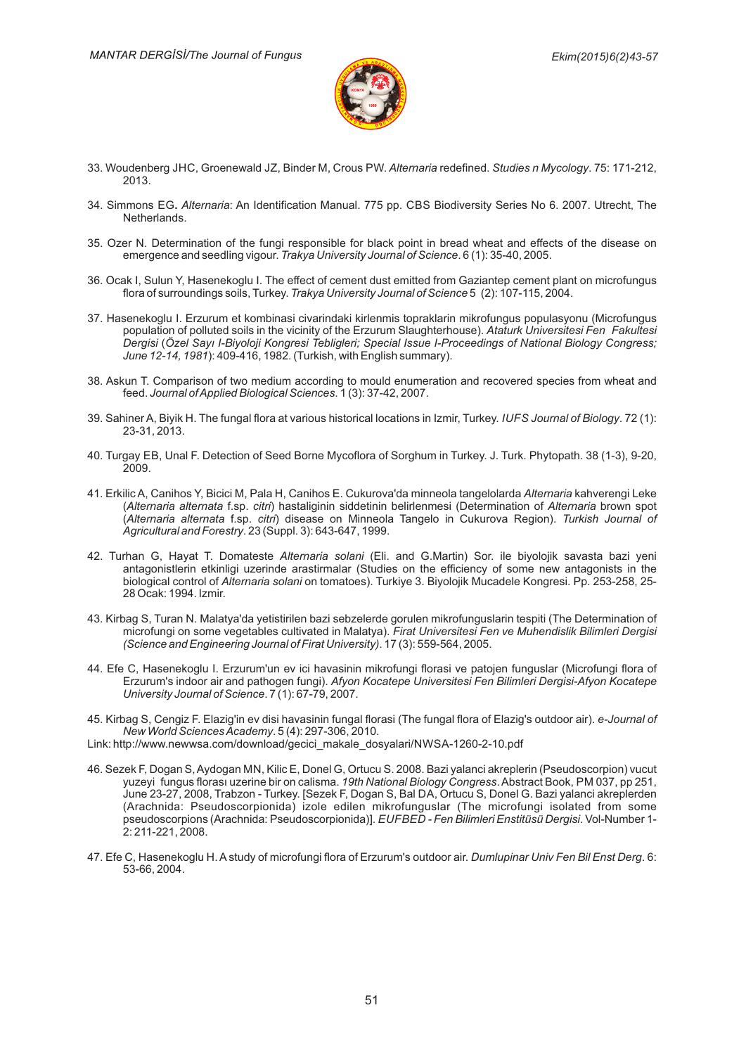

- 33. Woudenberg JHC, Groenewald JZ, Binder M, Crous PW. *Alternaria* redefined. Studies n Mycology. 75: 171-212, 2013.
- 34. Simmons EG. *Alternaria*: An Identification Manual. 775 pp. CBS Biodiversity Series No 6. 2007. Utrecht, The Netherlands.
- 35. Ozer N. Determination of the fungi responsible for black point in bread wheat and effects of the disease on emergence and seedling vigour. Trakya University Journal of Science. 6 (1): 35-40, 2005.
- 36. Ocak I, Sulun Y, Hasenekoglu I. The effect of cement dust emitted from Gaziantep cement plant on microfungus flora of surroundings soils, Turkey. *Trakya University Journal of Science* 5 (2): 107-115, 2004.
- 37. Hasenekoglu I. Erzurum et kombinasi civarindaki kirlenmis topraklarin mikrofungus populasyonu (Microfungus population of polluted soils in the vicinity of the Erzurum Slaughterhouse). Ataturk Universitesi Fen Fakultesi *Derg-s-Özel Sayı I-B-* ( *yoloj-Kongres-Tebl-gler-; Spec-al Issue I-Proceed-ngs of Nat-onal B-ology Congress;* June 12-14, 1981): 409-416, 1982. (Turkish, with English summary).
- 38. Askun T. Comparison of two medium according to mould enumeration and recovered species from wheat and feed. . 1 (3): 37-42, 2007. *Journal ofAppl-ed B-olog-cal Sc-ences*
- 39. Sahiner A, Biyik H. The fungal flora at various historical locations in Izmir, Turkey. *IUFS Journal of Biology.* 72 (1): 23-31, 2013.
- 40. Turgay EB, Unal F. Detection of Seed Borne Mycoflora of Sorghum in Turkey. J. Turk. Phytopath. 38 (1-3), 9-20, 2009.
- 41. Erkilic A, Canihos Y, Bicici M, Pala H, Canihos E. Cukurova'da minneola tangelolarda *Alternaria* kahverengi Leke (Alternaria alternata f.sp. citri) hastaliginin siddetinin belirlenmesi (Determination of Alternaria brown spot (Alternaria alternata f.sp. citri) disease on Minneola Tangelo in Cukurova Region). Turkish Journal oi *Agr-cultural and Forestry*. 23 (Suppl. 3): 643-647, 1999.
- 42. Turhan G, Hayat T. Domateste *Alternaria solani* (Eli. and G.Martin) Sor. ile biyolojik savasta bazi yeni antagonistlerin etkinligi uzerinde arastirmalar (Studies on the efficiency of some new antagonists in the biological control of *Alternaria solani* on tomatoes). Turkiye 3. Biyolojik Mucadele Kongresi. Pp. 253-258, 25-28 Ocak: 1994. Izmir.
- 43. Kirbag S, Turan N. Malatya'da yetistirilen bazi sebzelerde gorulen mikrofunguslarin tespiti (The Determination ol microfungi on some vegetables cultivated in Malatya). *Firat Universitesi Fen ve Muhendislik Bilimleri Dergisi (Science and Engineering Journal of Firat University).* 17 (3): 559-564, 2005.
- 44. Efe C, Hasenekoglu I. Erzurum'un ev ici havasinin mikrofungi florasi ve patojen funguslar (Microfungi flora ot Erzurum's indoor air and pathogen fungi). *Afyon Kocatepe Universitesi Fen Bilimleri Dergisi-Afyon Kocatepe University Journal of Science.* 7 (1): 67-79, 2007.
- 45. Kirbag S, Cengiz F. Elazig'in ev disi havasinin fungal florasi (The fungal flora of Elazig's outdoor air). *e-Journal o*i *New World Sc-encesAcademy*. 5 (4): 297-306, 2010.
- Link: http://www.newwsa.com/download/gecici\_makale\_dosyalari/NWSA-1260-2-10.pdf
- 46. Sezek F, Dogan S, Aydogan MN, Kilic E, Donel G, Ortucu S. 2008. Bazi yalanci akreplerin (Pseudoscorpion) vucut yuzeyi fungus florası uzerine bir on calisma. *19th National Biology Congress*. Abstract Book, PM 037, pp 251, June 23-27, 2008, Trabzon - Turkey. [Sezek F, Dogan S, Bal DA, Ortucu S, Donel G. Bazi yalanci akreplerden (Arachnida: Pseudoscorpionida) izole edilen mikrofunguslar (The microfungi isolated from some pseudoscorpions (Arachnida: Pseudoscorpionida)]. *EUFBED - Fen Bilimleri Enstitüsü Dergisi*. Vol-Number 1-2: 211-221, 2008.
- 47. Efe C, Hasenekoglu H. A study of microfungi flora of Erzurum's outdoor air. *Dumlupinar Univ Fen Bil Enst Derg.* 6: 53-66, 2004.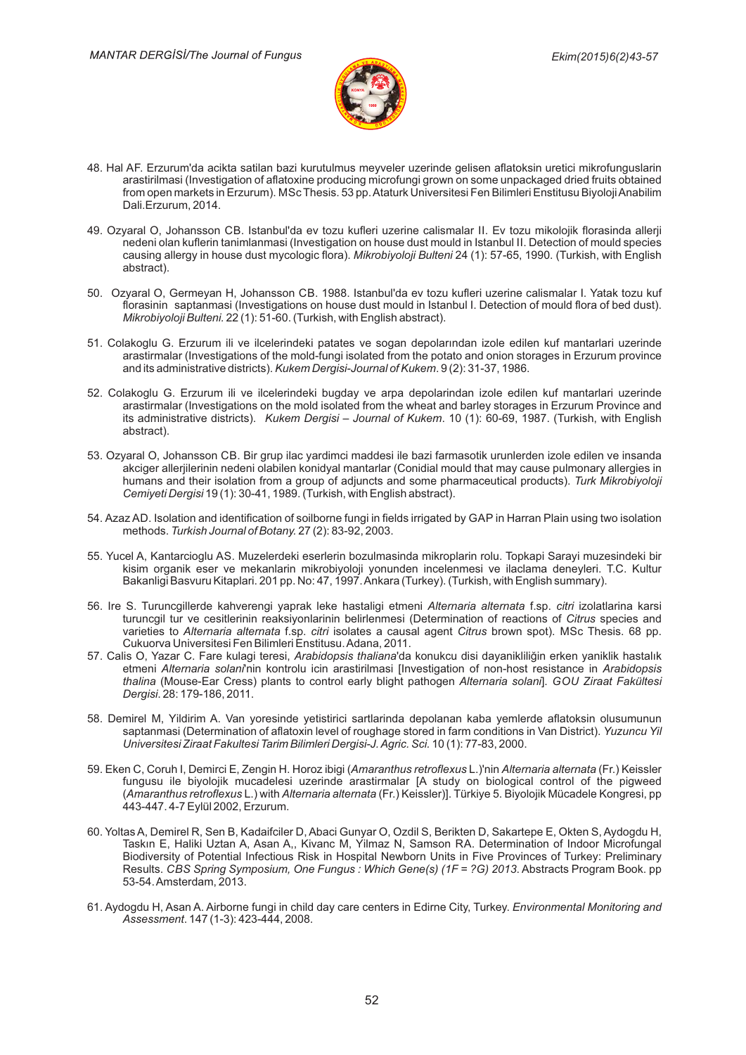

- 48. Hal AF. Erzurum'da acikta satilan bazi kurutulmus meyveler uzerinde gelisen aflatoksin uretici mikrofunguslarin arastirilmasi (Investigation of aflatoxine producing microfungi grown on some unpackaged dried fruits obtained from open markets in Erzurum). MSc Thesis. 53 pp. Ataturk Universitesi Fen Bilimleri Enstitusu Biyoloji Anabilim Dali.Erzurum, 2014.
- 49. Ozyaral O, Johansson CB. Istanbul'da ev tozu kufleri uzerine calismalar II. Ev tozu mikolojik florasinda allerji nedeni olan kuflerin tanimlanmasi (Investigation on house dust mould in Istanbul II. Detection of mould species causing allergy in house dust mycologic flora). *Mikrobiyoloji Bulteni* 24 (1): 57-65, 1990. (Turkish, with English abstract).
- 50. Ozyaral O, Germeyan H, Johansson CB. 1988. Istanbul'da ev tozu kufleri uzerine calismalar I. Yatak tozu kut florasinin saptanmasi (Investigations on house dust mould in Istanbul I. Detection of mould flora of bed dust). *Mikrobiyoloji Bulteni.* 22 (1): 51-60. (Turkish, with English abstract).
- 51. Colakoglu G. Erzurum ili ve ilcelerindeki patates ve sogan depolarından izole edilen kuf mantarlari uzerinde arastirmalar (Investigations of the mold-fungi isolated from the potato and onion storages in Erzurum province and its administrative districts). *Kukem Dergisi-Journal of Kukem.* 9 (2): 31-37, 1986.
- 52. Colakoglu G. Erzurum ili ve ilcelerindeki bugday ve arpa depolarindan izole edilen kuf mantarlari uzerinde arastirmalar (Investigations on the mold isolated from the wheat and barley storages in Erzurum Province and its administrative districts). Kukem Dergisi - Journal of Kukem. 10 (1): 60-69, 1987. (Turkish, with English abstract).
- 53. Ozyaral O, Johansson CB. Bir grup ilac yardimci maddesi ile bazi farmasotik urunlerden izole edilen ve insanda akciger allerjilerinin nedeni olabilen konidyal mantarlar (Conidial mould that may cause pulmonary allergies in humans and their isolation from a group of adjuncts and some pharmaceutical products). *Turk Mikrobiyoloji* Cemiyeti Dergisi 19 (1): 30-41, 1989. (Turkish, with English abstract).
- 54. Azaz AD. Isolation and identification of soilborne fungi in fields irrigated by GAP in Harran Plain using two isolation methods. 27 (2): 83-92, 2003. *Turkish Journal of Botany.*
- 55. Yucel A, Kantarcioglu AS. Muzelerdeki eserlerin bozulmasinda mikroplarin rolu. Topkapi Sarayi muzesindeki bir kisim organik eser ve mekanlarin mikrobiyoloji yonunden incelenmesi ve ilaclama deneyleri. T.C. Kultur Bakanligi Basvuru Kitaplari. 201 pp. No: 47, 1997. Ankara (Turkey). (Turkish, with English summary).
- 56. Ire S. Turuncgillerde kahverengi yaprak leke hastaligi etmeni *Alternaria alternata* f.sp. *citri* izolatlarina karsi turuncgil tur ve cesitlerinin reaksiyonlarinin belirlenmesi (Determination of reactions of Citrus species and varieties to Alternaria alternata f.sp. citri isolates a causal agent Citrus brown spot). MSc Thesis. 68 pp. Cukuorva Universitesi Fen Bilimleri Enstitusu. Adana, 2011.
- 57. Calis O, Yazar C. Fare kulagi teresi, *Arabidopsis thaliana*'da konukcu disi dayanikliliğin erken yaniklik hastalık etmeni Alternaria solani'nin kontrolu icin arastirilmasi [Investigation of non-host resistance in Arabidopsis *thalina* (Mouse-Ear Cress) plants to control early blight pathogen *Alternaria solani*]. GOU Ziraat Fakültesi *Derg-s-*. 28: 179-186, 2011.
- 58. Demirel M, Yildirim A. Van yoresinde yetistirici sartlarinda depolanan kaba yemlerde aflatoksin olusumunun saptanmasi (Determination of aflatoxin level of roughage stored in farm conditions in Van District). *Yuzuncu Yil Lniversitesi Ziraat Fakultesi Tarim Bilimleri Dergisi-J. Agric. Sci. 10 (1): 77-83, 2000.*
- 59. Eken C, Coruh I, Demirci E, Zengin H. Horoz ibigi (A*maranthus retroflexus* L.)'nin A*lternaria alternata* (Fr.) Keissler fungusu ile biyolojik mucadelesi uzerinde arastirmalar [A study on biological control of the pigweed (Amaranthus retroflexus L.) with Alternaria alternata (Fr.) Keissler)]. Türkiye 5. Biyolojik Mücadele Kongresi, pp 443-447. 4-7 Eylül 2002, Erzurum.
- 60. Yoltas A, Demirel R, Sen B, Kadaifciler D, Abaci Gunyar O, Ozdil S, Berikten D, Sakartepe E, Okten S, Aydogdu H, Taskın E, Haliki Uztan A, Asan A,, Kivanc M, Yilmaz N, Samson RA. Determination of Indoor Microfungal Biodiversity of Potential Infectious Risk in Hospital Newborn Units in Five Provinces of Turkey: Preliminary Results. CBS Spring Symposium, One Fungus : Which Gene(s) (1F = ?G) 2013. Abstracts Program Book. pp 53-54.Amsterdam, 2013.
- 61. Aydogdu H, Asan A. Airborne fungi in child day care centers in Edirne City, Turkey. *Environmental Monitoring and Assessment*. 147 (1-3): 423-444, 2008.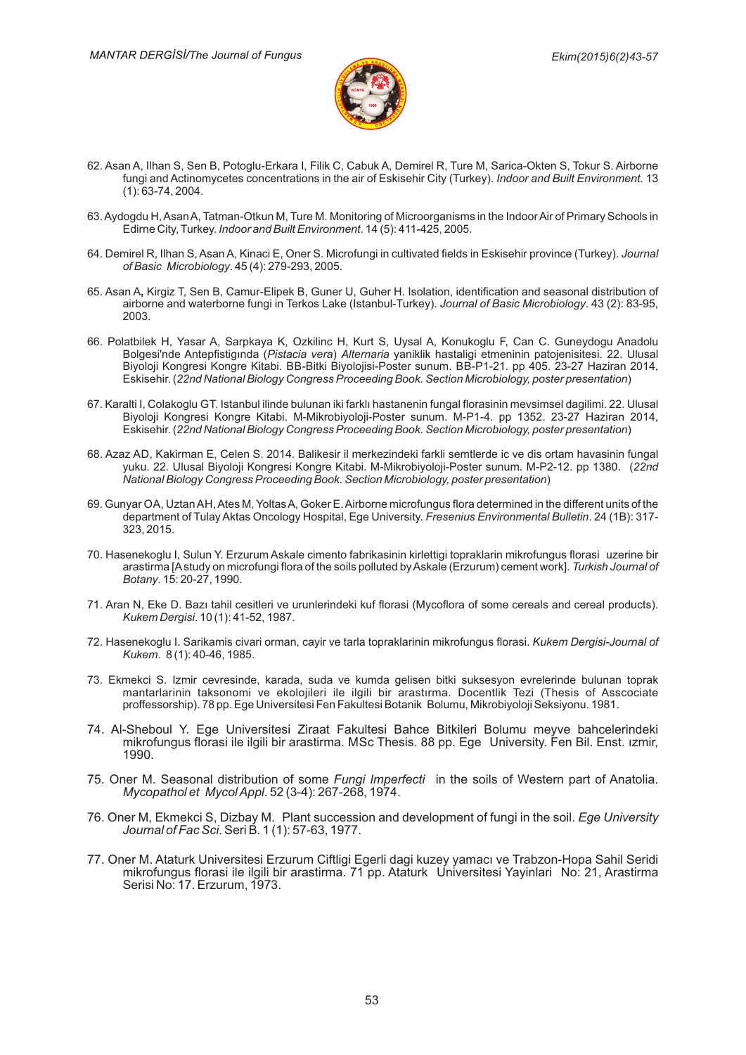

- 62. Asan A, Ilhan S, Sen B, Potoglu-Erkara I, Filik C, Cabuk A, Demirel R, Ture M, Sarica-Okten S, Tokur S. Airborne fungi and Actinomycetes concentrations in the air of Eskisehir City (Turkey). *Indoor and Built Environment*. 13 (1): 63-74, 2004.
- 63. Aydogdu H, Asan A, Tatman-Otkun M, Ture M. Monitoring of Microorganisms in the Indoor Air of Primary Schools in Edirne City, Turkey. *Indoor and Built Environment*. 14 (5): 411-425, 2005.
- 64. Demirel R, Ilhan S, Asan A, Kinaci E, Oner S. Microfungi in cultivated fields in Eskisehir province (Turkey). *Journa*i *of Basic Microbiology.* 45 (4): 279-293, 2005.
- 65. Asan A, Kirgiz T, Sen B, Camur-Elipek B, Guner U, Guher H. Isolation, identification and seasonal distribution of airborne and waterborne fungi in Terkos Lake (Istanbul-Turkey). Jo*urnal of Basic Microbiology*. 43 (2): 83-95, 2003.
- 66. Polatbilek H, Yasar A, Sarpkaya K, Ozkilinc H, Kurt S, Uysal A, Konukoglu F, Can C. Guneydogu Anadolu Bolgesi'nde Antepfistigında (*Pistacia vera*) *Alternaria* yaniklik hastaligi etmeninin patojenisitesi. 22. Ulusal Biyoloji Kongresi Kongre Kitabi. BB-Bitki Biyolojisi-Poster sunum. BB-P1-21. pp 405. 23-27 Haziran 2014, Eskisehir. (22nd National Biology Congress Proceeding Book. Section Microbiology, poster presentation)
- 67. Karalti I, Colakoglu GT. Istanbul ilinde bulunan iki farklı hastanenin fungal florasinin mevsimsel dagilimi. 22. Ulusal Biyoloji Kongresi Kongre Kitabi. M-Mikrobiyoloji-Poster sunum. M-P1-4. pp 1352. 23-27 Haziran 2014, Eskisehir. (22nd National Biology Congress Proceeding Book. Section Microbiology, poster presentation)
- 68. Azaz AD, Kakirman E, Celen S. 2014. Balikesir il merkezindeki farkli semtlerde ic ve dis ortam havasinin fungal yuku. 22. Ulusal Biyoloji Kongresi Kongre Kitabi. M-Mikrobiyoloji-Poster sunum. M-P2-12. pp 1380. (22*n*a *National Biology Congress Proceeding Book. Section Microbiology, poster presentation*)
- 69. Gunyar OA, Uztan AH, Ates M, Yoltas A, Goker E. Airborne microfungus flora determined in the different units of the department of Tulay Aktas Oncology Hospital, Ege University. *Fresenius Environmental Bulletin*. 24 (1B): 317-323, 2015.
- 70. Hasenekoglu I, Sulun Y. Erzurum Askale cimento fabrikasinin kirlettigi topraklarin mikrofungus florasi uzerine bir arastirma [Astudy on microfungi flora of the soils polluted by Askale (Erzurum) cement work]. *Turkish Journal o*i *Botany*. 15: 20-27, 1990.
- 71. Aran N, Eke D. Bazı tahil cesitleri ve urunlerindeki kuf florasi (Mycoflora of some cereals and cereal products). *Kukem Derg-s-*. 10 (1): 41-52, 1987.
- 72. Hasenekoglu I. Sarikamis civari orman, cayir ve tarla topraklarinin mikrofungus florasi. *Kukem Dergisi-Journal o*i *Kukem*. 8 (1): 40-46, 1985.
- 73. Ekmekci S. Izmir cevresinde, karada, suda ve kumda gelisen bitki suksesyon evrelerinde bulunan toprak mantarlarinin taksonomi ve ekolojileri ile ilgili bir arastırma. Docentlik Tezi (Thesis of Asscociate proffessorship). 78 pp. Ege Universitesi Fen Fakultesi Botanik Bolumu, Mikrobiyoloji Seksiyonu. 1981.
- 74. Al-Sheboul Y. Ege Universitesi Ziraat Fakultesi Bahce Bitkileri Bolumu meyve bahcelerindeki mikrofungus florasi ile ilgili bir arastirma. MSc Thesis. 88 pp. Ege University. Fen Bil. Enst. ızmir, 1990.
- 75. Oner M. Seasonal distribution of some *Fungi Imperfecti* in the soils of Western part of Anatolia. *Mycopathol et MycolAppl*. 52 (3-4): 267-268, 1974.
- 76. Oner M, Ekmekci S, Dizbay M. Plant succession and development of fungi in the soil. *Ege University Journal of Fac Sci.* Seri B. 1 (1): 57-63, 1977.
- 77. Oner M. Ataturk Universitesi Erzurum Ciftligi Egerli dagi kuzey yamacı ve Trabzon-Hopa Sahil Seridi mikrofungus florasi ile ilgili bir arastirma. 71 pp. Ataturk Universitesi Yayinlari No: 21, Arastirma Serisi No: 17. Erzurum, 1973.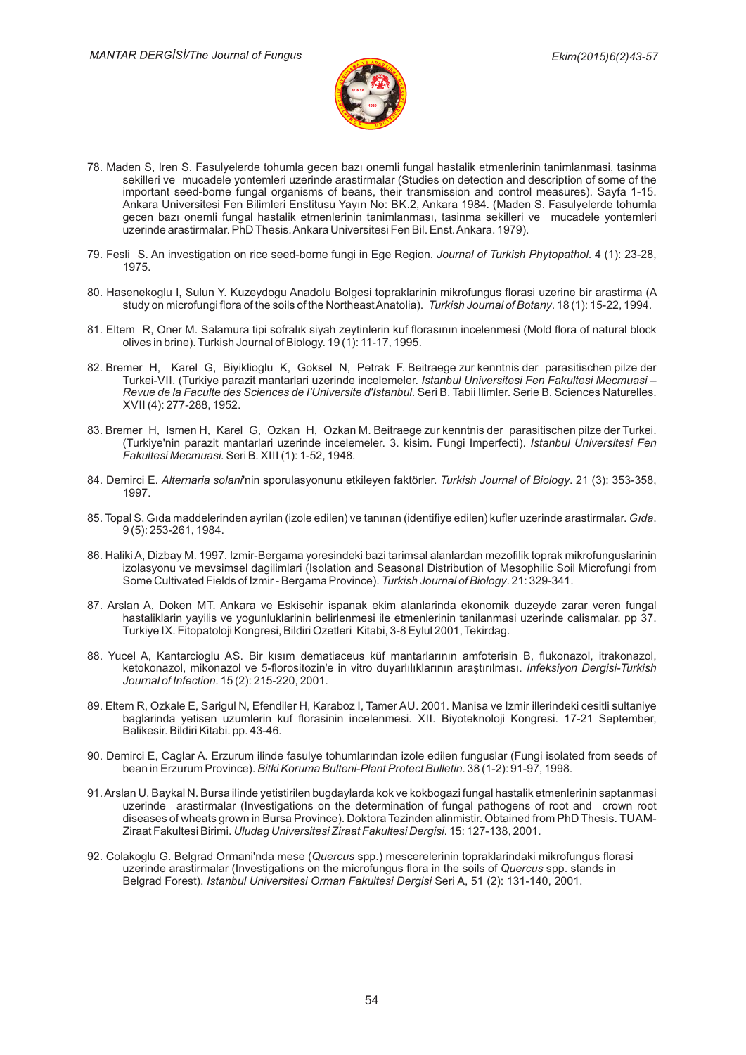

- 78. Maden S, Iren S. Fasulyelerde tohumla gecen bazı onemli fungal hastalik etmenlerinin tanimlanmasi, tasinma sekilleri ve mucadele yontemleri uzerinde arastirmalar (Studies on detection and description of some of the important seed-borne fungal organisms of beans, their transmission and control measures). Sayfa 1-15. Ankara Universitesi Fen Bilimleri Enstitusu Yayın No: BK.2, Ankara 1984. (Maden S. Fasulyelerde tohumla gecen bazı onemli fungal hastalik etmenlerinin tanimlanması, tasinma sekilleri ve mucadele yontemleri uzerinde arastirmalar. PhD Thesis. Ankara Universitesi Fen Bil. Enst. Ankara. 1979).
- 79. Fesli S. An investigation on rice seed-borne fungi in Ege Region. Journal of Turkish Phytopathol. 4 (1): 23-28, 1975.
- 80. Hasenekoglu I, Sulun Y. Kuzeydogu Anadolu Bolgesi topraklarinin mikrofungus florasi uzerine bir arastirma (A study on microfungi flora of the soils of the Northeast Anatolia). *Turkish Journal of Botany*. 18 (1): 15-22, 1994.
- 81. Eltem R, Oner M. Salamura tipi sofralık siyah zeytinlerin kuf florasının incelenmesi (Mold flora of natural block olives in brine). Turkish Journal of Biology. 19 (1): 11-17, 1995.
- 82. Bremer H, Karel G, Biyiklioglu K, Goksel N, Petrak F. Beitraege zur kenntnis der parasitischen pilze der Turkei-VII. (Turkiye parazit mantarlari uzerinde incelemeler. *Istanbul Universitesi Fen Fakultesi Mecmuasi* – *Revue de la Faculte des Sciences de l'Universite d'Istanbul. Seri B. Tabii Ilimler. Serie B. Sciences Naturelles.* XVII (4): 277-288, 1952.
- 83. Bremer H, Ismen H, Karel G, Ozkan H, Ozkan M. Beitraege zur kenntnis der parasitischen pilze der Turkei. (Turkiye'nin parazit mantarlari uzerinde incelemeler. 3. kisim. Fungi Imperfecti). Istanbul Universitesi Fen *Fakultes-Mecmuas-.*Ser-B. XIII (1): 1-52, 1948.
- 84. Demirci E. *Alternaria solani*'nin sporulasyonunu etkileyen faktörler. *Turkish Journal of Biology*. 21 (3): 353-358, 1997.
- 85. Topal S. Gıda maddelerinden ayrilan (izole edilen) ve tanınan (identifiye edilen) kufler uzerinde arastirmalar. *Gıda*. 9 (5): 253-261, 1984.
- 86. Haliki A, Dizbay M. 1997. Izmir-Bergama yoresindeki bazi tarimsal alanlardan mezofilik toprak mikrofunguslarinin izolasyonu ve mevsimsel dagilimlari (Isolation and Seasonal Distribution of Mesophilic Soil Microfungi from Some Cultivated Fields of Izmir - Bergama Province). *Turkish Journal of Biology*. 21: 329-341.
- 87. Arslan A, Doken MT. Ankara ve Eskisehir ispanak ekim alanlarinda ekonomik duzeyde zarar veren fungal hastaliklarin yayilis ve yogunluklarinin belirlenmesi ile etmenlerinin tanilanmasi uzerinde calismalar. pp 37. Turkiye IX. Fitopatoloji Kongresi, Bildiri Ozetleri Kitabi, 3-8 Eylul 2001, Tekirdag.
- 88. Yucel A, Kantarcioglu AS. Bir kısım dematiaceus küf mantarlarının amfoterisin B, flukonazol, itrakonazol, ketokonazol, mikonazol ve 5-florositozin'e in vitro duyarlılıklarının araştırılması. *Infeksiyon Dergisi-Turkish Journal of Infect-on*. 15 (2): 215-220, 2001.
- 89. Eltem R, Ozkale E, Sarigul N, Efendiler H, Karaboz I, Tamer AU. 2001. Manisa ve Izmir illerindeki cesitli sultaniye baglarinda yetisen uzumlerin kuf florasinin incelenmesi. XII. Biyoteknoloji Kongresi. 17-21 September, Balikesir. Bildiri Kitabi. pp. 43-46.
- 90. Demirci E, Caglar A. Erzurum ilinde fasulye tohumlarından izole edilen funguslar (Fungi isolated from seeds of bean in Erzurum Province). *Bitki Koruma Bulteni-Plant Protect Bulletin.* 38 (1-2): 91-97, 1998.
- 91. Arslan U, Baykal N. Bursa ilinde yetistirilen bugdaylarda kok ve kokbogazi fungal hastalik etmenlerinin saptanmasi uzerinde arastirmalar (Investigations on the determination of fungal pathogens of root and crown root diseases of wheats grown in Bursa Province). Doktora Tezinden alinmistir. Obtained from PhD Thesis. TUAM-<u>Ziraat Fakultesi Birimi. *Uludag Universitesi Ziraat Fakultesi Dergisi*. 15: 127-138, 2001.</u>
- 92. Colakoglu G. Belgrad Ormani'nda mese (Quercus spp.) mescerelerinin topraklarindaki mikrofungus florasi uzerinde arastirmalar (Investigations on the microfungus flora in the soils of Quercus spp. stands in Belgrad Forest). Ser- *Istanbul Un-vers-tes-Orman Fakultes-Derg-s-* A, 51 (2): 131-140, 2001.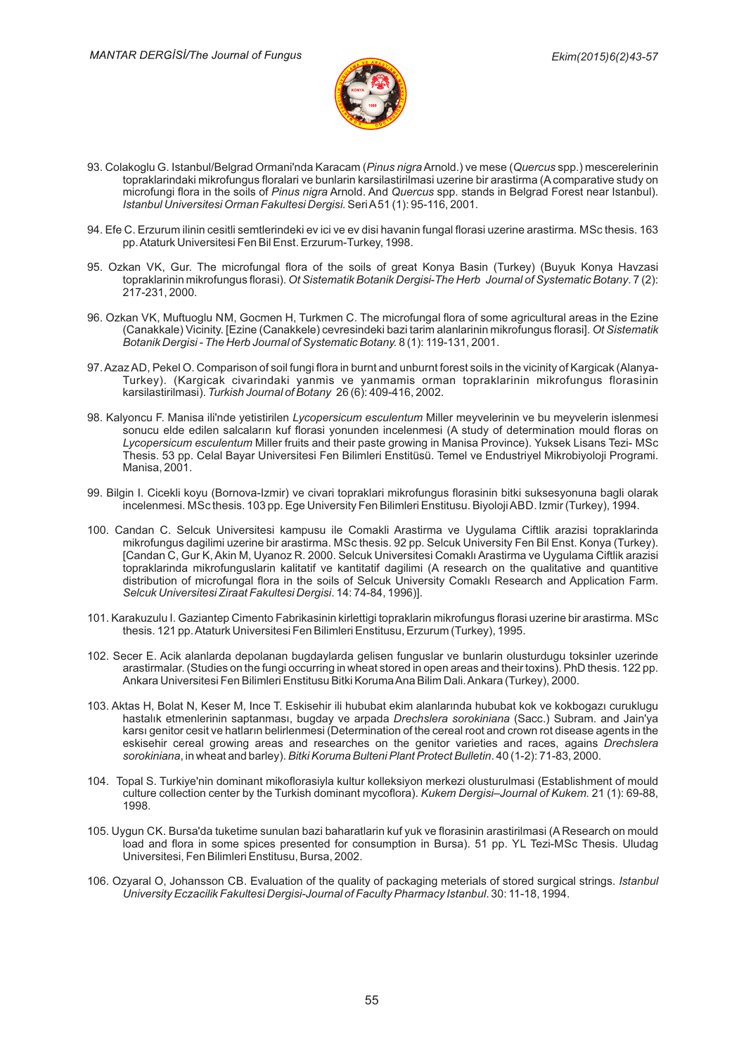

- 93. Colakoglu G. Istanbul/Belgrad Ormani'nda Karacam (*Pinus nigra* Arnold.) ve mese (Q*uercus* spp.) mescerelerinin topraklarindaki mikrofungus floralari ve bunlarin karsilastirilmasi uzerine bir arastirma (A comparative study on microfungi flora in the soils of *Pinus nigra* Arnold. And Quercus spp. stands in Belgrad Forest near Istanbul). *Istanbul Un-vers-tes-Orman Fakultes-Derg-s-.*Ser-A51 (1): 95-116, 2001.
- 94. Efe C. Erzurum ilinin cesitli semtlerindeki ev ici ve ev disi havanin fungal florasi uzerine arastirma. MSc thesis. 163 pp. Ataturk Universitesi Fen Bil Enst. Erzurum-Turkey, 1998.
- 95. Ozkan VK, Gur. The microfungal flora of the soils of great Konya Basin (Turkey) (Buyuk Konya Havzasi topraklarinin mikrofungus florasi). Ot S*istematik Botanik Dergisi-The Herb Journal of Systematic Botany.* 7 (2): 217-231, 2000.
- 96. Ozkan VK, Muftuoglu NM, Gocmen H, Turkmen C. The microfungal flora of some agricultural areas in the Ezine (Canakkale) Vicinity. [Ezine (Canakkele) cevresindeki bazi tarim alanlarinin mikrofungus florasi]. *Ot Sistematik Botanik Dergisi - The Herb Journal of Systematic Botany.* 8 (1): 119-131, 2001.
- 97. Azaz AD, Pekel O. Comparison of soil fungi flora in burnt and unburnt forest soils in the vicinity of Kargicak (Alanya-Turkey). (Kargicak civarindaki yanmis ve yanmamis orman topraklarinin mikrofungus florasinin karsilastirilmasi). *Turkish Journal of Botany* 26 (6): 409-416, 2002.
- 98. Kalyoncu F. Manisa ili'nde yetistirilen *Lycopersicum esculentum* Miller meyvelerinin ve bu meyvelerin islenmesi sonucu elde edilen salcaların kuf florasi yonunden incelenmesi (A study of determination mould floras on *Lycopersicum esculentum* Miller fruits and their paste growing in Manisa Province). Yuksek Lisans Tezi- MSc Thesis. 53 pp. Celal Bayar Universitesi Fen Bilimleri Enstitüsü. Temel ve Endustriyel Mikrobiyoloji Programi. Manisa, 2001.
- 99. Bilgin I. Cicekli koyu (Bornova-Izmir) ve civari topraklari mikrofungus florasinin bitki suksesyonuna bagli olarak incelenmesi. MSc thesis. 103 pp. Ege University Fen Bilimleri Enstitusu. Biyoloji ABD. Izmir (Turkey), 1994.
- 100. Candan C. Selcuk Universitesi kampusu ile Comakli Arastirma ve Uygulama Ciftlik arazisi topraklarinda mikrofungus dagilimi uzerine bir arastirma. MSc thesis. 92 pp. Selcuk University Fen Bil Enst. Konya (Turkey). [Candan C, Gur K, Akin M, Uyanoz R. 2000. Selcuk Universitesi Comaklı Arastirma ve Uygulama Ciftlik arazisi topraklarinda mikrofunguslarin kalitatif ve kantitatif dagilimi (A research on the qualitative and quantitive distribution of microfungal flora in the soils of Selcuk University Comaklı Research and Application Farm. *Selcuk Un-vers-tes-Z-raat Fakultes-Derg-s-*. 14: 74-84, 1996)].
- 101. Karakuzulu I. Gaziantep Cimento Fabrikasinin kirlettigi topraklarin mikrofungus florasi uzerine bir arastirma. MSc thesis. 121 pp. Ataturk Universitesi Fen Bilimleri Enstitusu, Erzurum (Turkey), 1995.
- 102. Secer E. Acik alanlarda depolanan bugdaylarda gelisen funguslar ve bunlarin olusturdugu toksinler uzerinde arastirmalar. (Studies on the fungi occurring in wheat stored in open areas and their toxins). PhD thesis. 122 pp. Ankara Universitesi Fen Bilimleri Enstitusu Bitki Koruma Ana Bilim Dali. Ankara (Turkey), 2000.
- 103. Aktas H, Bolat N, Keser M, Ince T. Eskisehir ili hububat ekim alanlarında hububat kok ve kokbogazı curuklugu hastalık etmenlerinin saptanması, bugday ve arpada *Drechslera sorokiniana* (Sacc.) Subram. and Jain'ya karsı genitor cesit ve hatların belirlenmesi (Determination of the cereal root and crown rot disease agents in the eskisehir cereal growing areas and researches on the genitor varieties and races, agains *Drechslera sorokiniana*, in wheat and barley). *Bitki Koruma Bulteni Plant Protect Bulletin*. 40 (1-2): 71-83, 2000.
- 104. Topal S. Turkiye'nin dominant mikoflorasiyla kultur kolleksiyon merkezi olusturulmasi (Establishment of mould culture collection center by the Turkish dominant mycoflora). *Kukem Dergisi–Journal of Kukem.* 21 (1): 69-88, 1998.
- 105. Uygun CK. Bursa'da tuketime sunulan bazi baharatlarin kuf yuk ve florasinin arastirilmasi (A Research on mould load and flora in some spices presented for consumption in Bursa). 51 pp. YL Tezi-MSc Thesis. Uludag Universitesi, Fen Bilimleri Enstitusu, Bursa, 2002.
- 106. Ozyaral O, Johansson CB. Evaluation of the quality of packaging meterials of stored surgical strings. Istanbul *Un-vers-ty Eczac-l-k Fakultes-Derg-s--Journal of Faculty Pharmacy Istanbul*. 30: 11-18, 1994.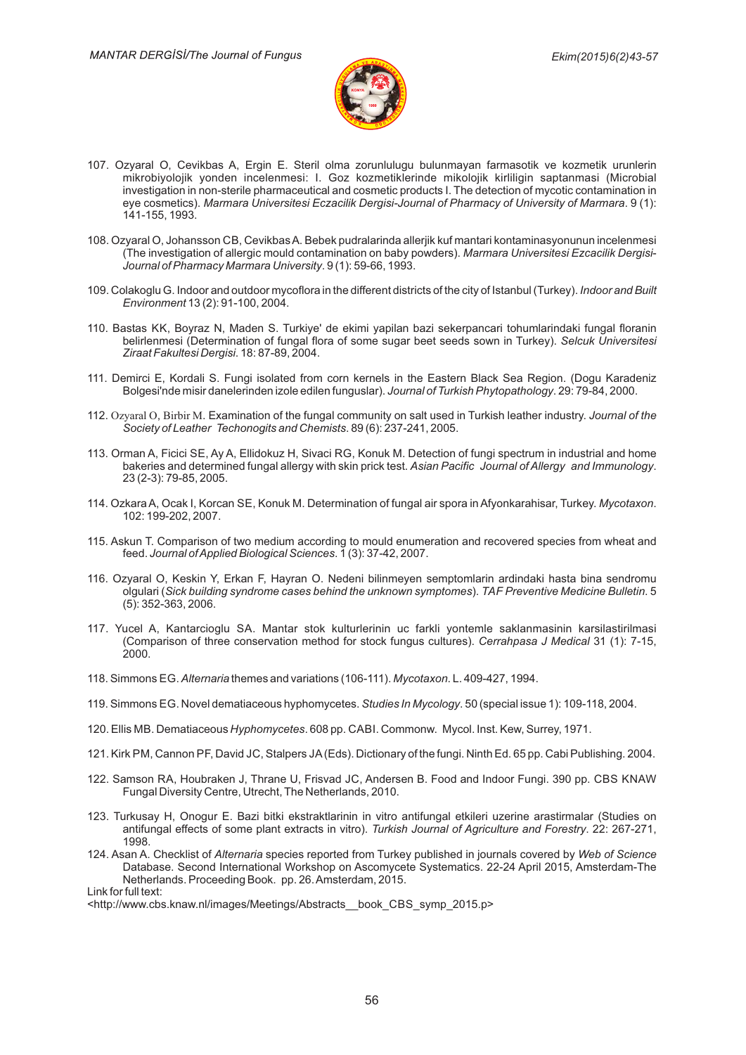

- 107. Ozyaral O, Cevikbas A, Ergin E. Steril olma zorunlulugu bulunmayan farmasotik ve kozmetik urunlerin mikrobiyolojik yonden incelenmesi: I. Goz kozmetiklerinde mikolojik kirliligin saptanmasi (Microbial investigation in non-sterile pharmaceutical and cosmetic products I. The detection of mycotic contamination in eye cosmetics). *Marmara Universitesi Eczacilik Dergisi-Journal of Pharmacy of University of Marmara.* 9 (1): 141-155, 1993.
- 108. Ozyaral O, Johansson CB, Cevikbas A. Bebek pudralarinda allerjik kuf mantari kontaminasyonunun incelenmesi (The investigation of allergic mould contamination on baby powders). *Marmara Universitesi Ezcacilik Dergisi-Journal of Pharmacy Marmara Un-vers-ty*. 9 (1): 59-66, 1993.
- 109. Colakoglu G. Indoor and outdoor mycoflora in the different districts of the city of Istanbul (Turkey). *Indoor and Built Env-ronment* 13 (2): 91-100, 2004.
- 110. Bastas KK, Boyraz N, Maden S. Turkiye' de ekimi yapilan bazi sekerpancari tohumlarindaki fungal floranin belirlenmesi (Determination of fungal flora of some sugar beet seeds sown in Turkey). *Selcuk Universitesi Z-raat Fakultes-Derg-s-*. 18: 87-89, 2004.
- 111. Demirci E, Kordali S. Fungi isolated from corn kernels in the Eastern Black Sea Region. (Dogu Karadeniz Bolgesi'nde misir danelerinden izole edilen funguslar). *Journal of Turkish Phytopathology*. 29: 79-84, 2000.
- 112. Ozyaral O, Birbir M. Examination of the fungal community on salt used in Turkish leather industry. *Journal of the* Society of Leather Techonogits and Chemists. 89 (6): 237-241, 2005.
- 113. Orman A, Ficici SE, Ay A, Ellidokuz H, Sivaci RG, Konuk M. Detection of fungi spectrum in industrial and home bakeries and determined fungal allergy with skin prick test. A*sian Pacific Journal of Allergy and Immunology*. 23 (2-3): 79-85, 2005.
- 114. Ozkara A, Ocak I, Korcan SE, Konuk M. Determination of fungal air spora in Afyonkarahisar, Turkey. *Mycotaxon*. 102: 199-202, 2007.
- 115. Askun T. Comparison of two medium according to mould enumeration and recovered species from wheat and feed. . 1 (3): 37-42, 2007. *Journal ofAppl-ed B-olog-cal Sc-ences*
- 116. Ozyaral O, Keskin Y, Erkan F, Hayran O. Nedeni bilinmeyen semptomlarin ardindaki hasta bina sendromu olgulari (Sick building syndrome cases behind the unknown symptomes). TAF Preventive Medicine Bulletin. 5 (5): 352-363, 2006.
- 117. Yucel A, Kantarcioglu SA. Mantar stok kulturlerinin uc farkli yontemle saklanmasinin karsilastirilmasi (Comparison of three conservation method for stock fungus cultures). Cerrahpasa J Medical 31 (1): 7-15, 2000.
- 118. Simmons EG. Alternaria themes and variations (106-111). Mycotaxon. L. 409-427, 1994.
- 119. Simmons EG. Novel dematiaceous hyphomycetes. Studies In Mycology. 50 (special issue 1): 109-118, 2004.
- 120. Ellis MB. Dematiaceous Hyphomycetes. 608 pp. CABI. Commonw. Mycol. Inst. Kew, Surrey, 1971.
- 121. Kirk PM, Cannon PF, David JC, Stalpers JA (Eds). Dictionary of the fungi. Ninth Ed. 65 pp. Cabi Publishing. 2004.
- 122. Samson RA, Houbraken J, Thrane U, Frisvad JC, Andersen B. Food and Indoor Fungi. 390 pp. CBS KNAW Fungal Diversity Centre, Utrecht, The Netherlands, 2010.
- 123. Turkusay H, Onogur E. Bazi bitki ekstraktlarinin in vitro antifungal etkileri uzerine arastirmalar (Studies on antifungal effects of some plant extracts in vitro). *Turkish Journal of Agriculture and Forestry*. 22: 267-271, 1998.
- 124. Asan A. Checklist of Alternaria species reported from Turkey published in journals covered by Web of Science Database. Second International Workshop on Ascomycete Systematics. 22-24 April 2015, Amsterdam-The Netherlands. Proceeding Book. pp. 26. Amsterdam, 2015.

Link for full text:

<sup>&</sup>lt;http://www.cbs.knaw.nl/images/Meetings/Abstracts\_\_book\_CBS\_symp\_2015.p>